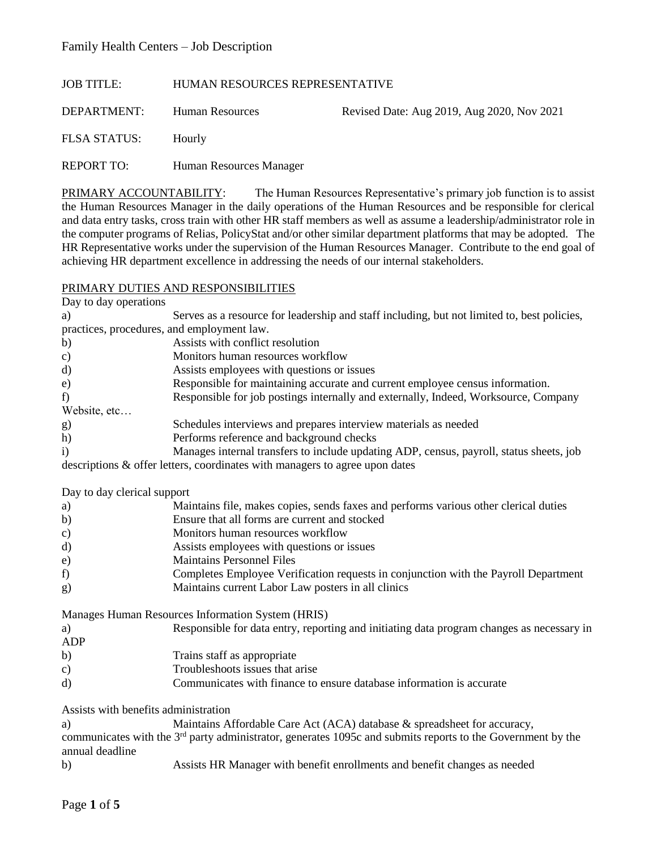#### JOB TITLE: HUMAN RESOURCES REPRESENTATIVE

DEPARTMENT: Human Resources Revised Date: Aug 2019, Aug 2020, Nov 2021

FLSA STATUS: Hourly

REPORT TO: Human Resources Manager

PRIMARY ACCOUNTABILITY: The Human Resources Representative's primary job function is to assist the Human Resources Manager in the daily operations of the Human Resources and be responsible for clerical and data entry tasks, cross train with other HR staff members as well as assume a leadership/administrator role in the computer programs of Relias, PolicyStat and/or other similar department platforms that may be adopted. The HR Representative works under the supervision of the Human Resources Manager. Contribute to the end goal of achieving HR department excellence in addressing the needs of our internal stakeholders.

#### PRIMARY DUTIES AND RESPONSIBILITIES

| Day to day operations                                                                                                   |                                                                                             |  |  |
|-------------------------------------------------------------------------------------------------------------------------|---------------------------------------------------------------------------------------------|--|--|
| a)                                                                                                                      | Serves as a resource for leadership and staff including, but not limited to, best policies, |  |  |
| practices, procedures, and employment law.                                                                              |                                                                                             |  |  |
| b)                                                                                                                      | Assists with conflict resolution                                                            |  |  |
| c)                                                                                                                      | Monitors human resources workflow                                                           |  |  |
| d)                                                                                                                      | Assists employees with questions or issues                                                  |  |  |
| $\epsilon$ )                                                                                                            | Responsible for maintaining accurate and current employee census information.               |  |  |
| f)                                                                                                                      | Responsible for job postings internally and externally, Indeed, Worksource, Company         |  |  |
| Website, etc                                                                                                            |                                                                                             |  |  |
| g)                                                                                                                      | Schedules interviews and prepares interview materials as needed                             |  |  |
| h)                                                                                                                      | Performs reference and background checks                                                    |  |  |
| i)                                                                                                                      | Manages internal transfers to include updating ADP, census, payroll, status sheets, job     |  |  |
|                                                                                                                         | descriptions & offer letters, coordinates with managers to agree upon dates                 |  |  |
|                                                                                                                         |                                                                                             |  |  |
| Day to day clerical support                                                                                             |                                                                                             |  |  |
| a)                                                                                                                      | Maintains file, makes copies, sends faxes and performs various other clerical duties        |  |  |
| b)                                                                                                                      | Ensure that all forms are current and stocked                                               |  |  |
| $\mathbf{c})$                                                                                                           | Monitors human resources workflow                                                           |  |  |
| d)                                                                                                                      | Assists employees with questions or issues                                                  |  |  |
| e)                                                                                                                      | <b>Maintains Personnel Files</b>                                                            |  |  |
| f)                                                                                                                      | Completes Employee Verification requests in conjunction with the Payroll Department         |  |  |
| g)                                                                                                                      | Maintains current Labor Law posters in all clinics                                          |  |  |
|                                                                                                                         | Manages Human Resources Information System (HRIS)                                           |  |  |
| a)                                                                                                                      | Responsible for data entry, reporting and initiating data program changes as necessary in   |  |  |
| <b>ADP</b>                                                                                                              |                                                                                             |  |  |
| b)                                                                                                                      | Trains staff as appropriate                                                                 |  |  |
| $\mathbf{c})$                                                                                                           | Troubleshoots issues that arise                                                             |  |  |
| $\mathbf{d}$                                                                                                            | Communicates with finance to ensure database information is accurate                        |  |  |
|                                                                                                                         |                                                                                             |  |  |
| Assists with benefits administration                                                                                    |                                                                                             |  |  |
| a)                                                                                                                      | Maintains Affordable Care Act (ACA) database & spreadsheet for accuracy,                    |  |  |
| communicates with the 3 <sup>rd</sup> party administrator, generates 1095c and submits reports to the Government by the |                                                                                             |  |  |
| annual deadline                                                                                                         |                                                                                             |  |  |
| b)                                                                                                                      | Assists HR Manager with benefit enrollments and benefit changes as needed                   |  |  |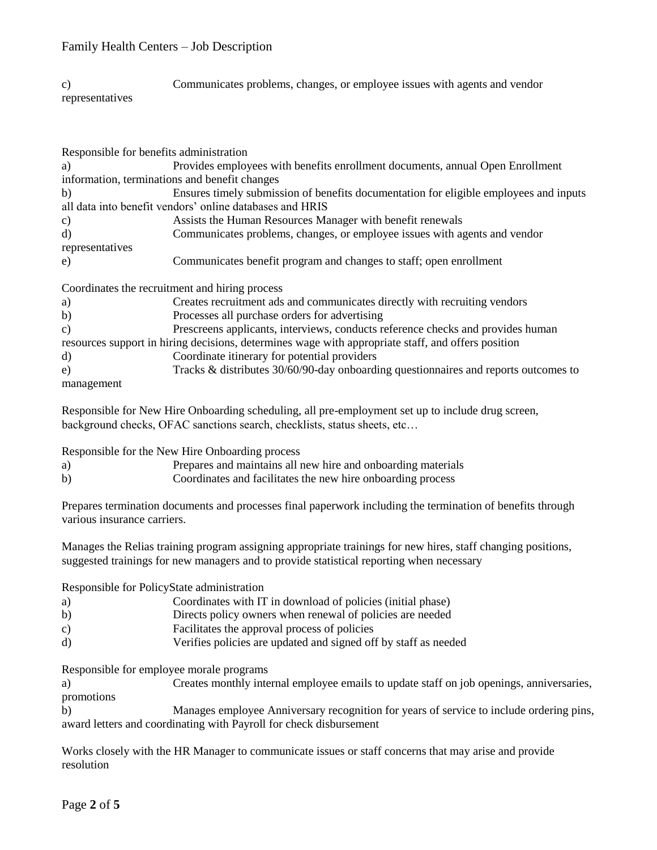| $\mathcal{C}$ ) | Communicates problems, changes, or employee issues with agents and vendor |
|-----------------|---------------------------------------------------------------------------|
| representatives |                                                                           |

| Responsible for benefits administration |                                                                                                    |  |  |  |  |
|-----------------------------------------|----------------------------------------------------------------------------------------------------|--|--|--|--|
| a)                                      | Provides employees with benefits enrollment documents, annual Open Enrollment                      |  |  |  |  |
|                                         | information, terminations and benefit changes                                                      |  |  |  |  |
| b)                                      | Ensures timely submission of benefits documentation for eligible employees and inputs              |  |  |  |  |
|                                         | all data into benefit vendors' online databases and HRIS                                           |  |  |  |  |
| $\mathbf{c})$                           | Assists the Human Resources Manager with benefit renewals                                          |  |  |  |  |
| d)                                      | Communicates problems, changes, or employee issues with agents and vendor                          |  |  |  |  |
| representatives                         |                                                                                                    |  |  |  |  |
| e)                                      | Communicates benefit program and changes to staff; open enrollment                                 |  |  |  |  |
|                                         | Coordinates the recruitment and hiring process                                                     |  |  |  |  |
| a)                                      | Creates recruitment ads and communicates directly with recruiting vendors                          |  |  |  |  |
| b)                                      | Processes all purchase orders for advertising                                                      |  |  |  |  |
| c)                                      | Prescreens applicants, interviews, conducts reference checks and provides human                    |  |  |  |  |
|                                         | resources support in hiring decisions, determines wage with appropriate staff, and offers position |  |  |  |  |
| d)                                      | Coordinate itinerary for potential providers                                                       |  |  |  |  |
| e)                                      | Tracks & distributes 30/60/90-day onboarding questionnaires and reports outcomes to                |  |  |  |  |
| management                              |                                                                                                    |  |  |  |  |
|                                         | Responsible for New Hire Onboarding scheduling, all pre-employment set up to include drug screen,  |  |  |  |  |

Responsible for the New Hire Onboarding process

| a) | Prepares and maintains all new hire and onboarding materials |  |
|----|--------------------------------------------------------------|--|

b) Coordinates and facilitates the new hire onboarding process

background checks, OFAC sanctions search, checklists, status sheets, etc…

Prepares termination documents and processes final paperwork including the termination of benefits through various insurance carriers.

Manages the Relias training program assigning appropriate trainings for new hires, staff changing positions, suggested trainings for new managers and to provide statistical reporting when necessary

Responsible for PolicyState administration

- a) Coordinates with IT in download of policies (initial phase)
- b) Directs policy owners when renewal of policies are needed
- c) Facilitates the approval process of policies
- d) Verifies policies are updated and signed off by staff as needed

Responsible for employee morale programs

a) Creates monthly internal employee emails to update staff on job openings, anniversaries, promotions

b) Manages employee Anniversary recognition for years of service to include ordering pins, award letters and coordinating with Payroll for check disbursement

Works closely with the HR Manager to communicate issues or staff concerns that may arise and provide resolution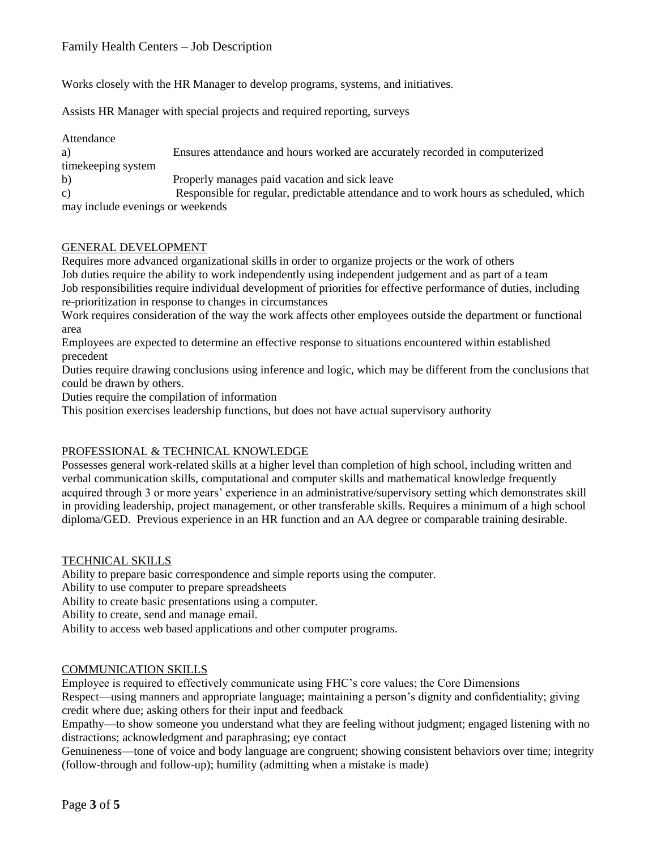Works closely with the HR Manager to develop programs, systems, and initiatives.

Assists HR Manager with special projects and required reporting, surveys

| Attendance                       |                                                                                       |
|----------------------------------|---------------------------------------------------------------------------------------|
| a)                               | Ensures attendance and hours worked are accurately recorded in computerized           |
| time keeping system              |                                                                                       |
| b)                               | Properly manages paid vacation and sick leave                                         |
| c)                               | Responsible for regular, predictable attendance and to work hours as scheduled, which |
| may include evenings or weekends |                                                                                       |

#### GENERAL DEVELOPMENT

Requires more advanced organizational skills in order to organize projects or the work of others Job duties require the ability to work independently using independent judgement and as part of a team Job responsibilities require individual development of priorities for effective performance of duties, including re-prioritization in response to changes in circumstances

Work requires consideration of the way the work affects other employees outside the department or functional area

Employees are expected to determine an effective response to situations encountered within established precedent

Duties require drawing conclusions using inference and logic, which may be different from the conclusions that could be drawn by others.

Duties require the compilation of information

This position exercises leadership functions, but does not have actual supervisory authority

## PROFESSIONAL & TECHNICAL KNOWLEDGE

Possesses general work-related skills at a higher level than completion of high school, including written and verbal communication skills, computational and computer skills and mathematical knowledge frequently acquired through 3 or more years' experience in an administrative/supervisory setting which demonstrates skill in providing leadership, project management, or other transferable skills. Requires a minimum of a high school diploma/GED. Previous experience in an HR function and an AA degree or comparable training desirable.

## TECHNICAL SKILLS

Ability to prepare basic correspondence and simple reports using the computer.

Ability to use computer to prepare spreadsheets

Ability to create basic presentations using a computer.

Ability to create, send and manage email.

Ability to access web based applications and other computer programs.

## COMMUNICATION SKILLS

Employee is required to effectively communicate using FHC's core values; the Core Dimensions Respect—using manners and appropriate language; maintaining a person's dignity and confidentiality; giving credit where due; asking others for their input and feedback

Empathy—to show someone you understand what they are feeling without judgment; engaged listening with no distractions; acknowledgment and paraphrasing; eye contact

Genuineness—tone of voice and body language are congruent; showing consistent behaviors over time; integrity (follow-through and follow-up); humility (admitting when a mistake is made)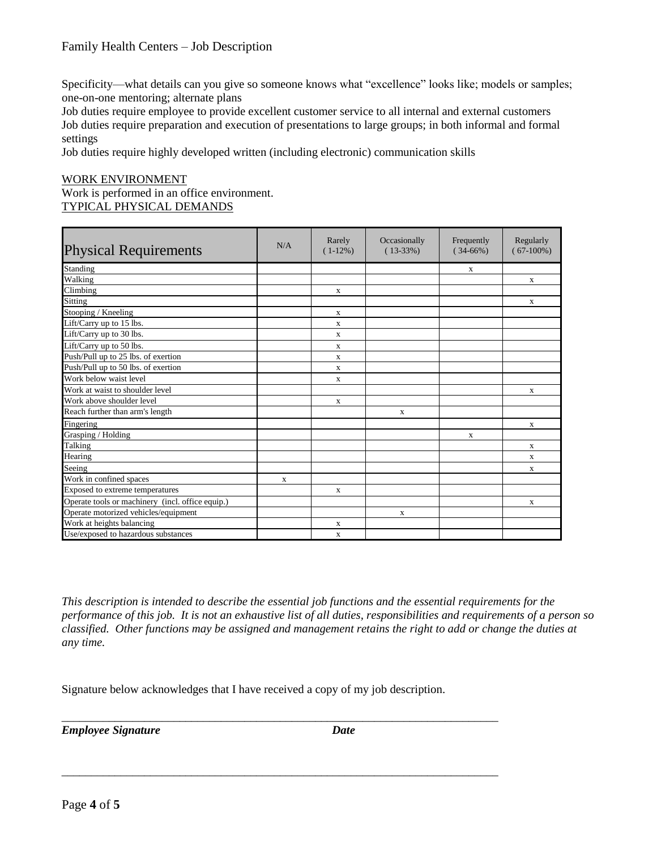Specificity—what details can you give so someone knows what "excellence" looks like; models or samples; one-on-one mentoring; alternate plans

Job duties require employee to provide excellent customer service to all internal and external customers Job duties require preparation and execution of presentations to large groups; in both informal and formal settings

Job duties require highly developed written (including electronic) communication skills

#### WORK ENVIRONMENT Work is performed in an office environment. TYPICAL PHYSICAL DEMANDS

| <b>Physical Requirements</b>                     | N/A          | Rarely<br>$(1-12\%)$ | Occasionally<br>$(13-33%)$ | Frequently<br>$(34-66%)$ | Regularly<br>$(67-100\%)$ |
|--------------------------------------------------|--------------|----------------------|----------------------------|--------------------------|---------------------------|
| Standing                                         |              |                      |                            | X                        |                           |
| Walking                                          |              |                      |                            |                          | $\mathbf{x}$              |
| Climbing                                         |              | X                    |                            |                          |                           |
| Sitting                                          |              |                      |                            |                          | $\mathbf{x}$              |
| Stooping / Kneeling                              |              | X                    |                            |                          |                           |
| Lift/Carry up to 15 lbs.                         |              | $\mathbf{x}$         |                            |                          |                           |
| Lift/Carry up to 30 lbs.                         |              | X                    |                            |                          |                           |
| Lift/Carry up to 50 lbs.                         |              | $\mathbf x$          |                            |                          |                           |
| Push/Pull up to 25 lbs. of exertion              |              | $\mathbf{x}$         |                            |                          |                           |
| Push/Pull up to 50 lbs. of exertion              |              | $\mathbf{x}$         |                            |                          |                           |
| Work below waist level                           |              | $\mathbf x$          |                            |                          |                           |
| Work at waist to shoulder level                  |              |                      |                            |                          | $\mathbf{x}$              |
| Work above shoulder level                        |              | $\mathbf{x}$         |                            |                          |                           |
| Reach further than arm's length                  |              |                      | $\mathbf x$                |                          |                           |
| Fingering                                        |              |                      |                            |                          | X                         |
| Grasping / Holding                               |              |                      |                            | $\mathbf{X}$             |                           |
| Talking                                          |              |                      |                            |                          | $\mathbf{x}$              |
| Hearing                                          |              |                      |                            |                          | $\mathbf{x}$              |
| Seeing                                           |              |                      |                            |                          | $\mathbf{x}$              |
| Work in confined spaces                          | $\mathbf{x}$ |                      |                            |                          |                           |
| Exposed to extreme temperatures                  |              | $\mathbf{x}$         |                            |                          |                           |
| Operate tools or machinery (incl. office equip.) |              |                      |                            |                          | $\mathbf{x}$              |
| Operate motorized vehicles/equipment             |              |                      | X                          |                          |                           |
| Work at heights balancing                        |              | X                    |                            |                          |                           |
| Use/exposed to hazardous substances              |              | $\mathbf x$          |                            |                          |                           |

*This description is intended to describe the essential job functions and the essential requirements for the performance of this job. It is not an exhaustive list of all duties, responsibilities and requirements of a person so classified. Other functions may be assigned and management retains the right to add or change the duties at any time.*

Signature below acknowledges that I have received a copy of my job description.

\_\_\_\_\_\_\_\_\_\_\_\_\_\_\_\_\_\_\_\_\_\_\_\_\_\_\_\_\_\_\_\_\_\_\_\_\_\_\_\_\_\_\_\_\_\_\_\_\_\_\_\_\_\_\_\_\_\_\_\_\_\_\_\_\_\_\_\_\_\_\_\_\_\_

\_\_\_\_\_\_\_\_\_\_\_\_\_\_\_\_\_\_\_\_\_\_\_\_\_\_\_\_\_\_\_\_\_\_\_\_\_\_\_\_\_\_\_\_\_\_\_\_\_\_\_\_\_\_\_\_\_\_\_\_\_\_\_\_\_\_\_\_\_\_\_\_\_\_

*Employee Signature Date*